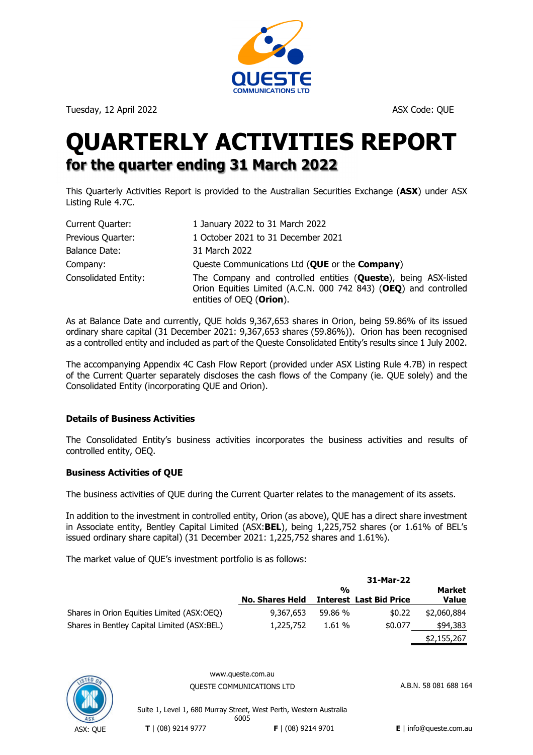

Tuesday, 12 April 2022 **ASX Code: QUE** ASX Code: QUE

# **QUARTERLY ACTIVITIES REPORT for the quarter ending 31 March 2022**

This Quarterly Activities Report is provided to the Australian Securities Exchange (**ASX**) under ASX Listing Rule 4.7C.

| Current Quarter:     | 1 January 2022 to 31 March 2022                                                                                                                                |
|----------------------|----------------------------------------------------------------------------------------------------------------------------------------------------------------|
| Previous Quarter:    | 1 October 2021 to 31 December 2021                                                                                                                             |
| Balance Date:        | 31 March 2022                                                                                                                                                  |
| Company:             | Queste Communications Ltd (QUE or the Company)                                                                                                                 |
| Consolidated Entity: | The Company and controlled entities (Queste), being ASX-listed<br>Orion Equities Limited (A.C.N. 000 742 843) (OEQ) and controlled<br>entities of OEQ (Orion). |

As at Balance Date and currently, QUE holds 9,367,653 shares in Orion, being 59.86% of its issued ordinary share capital (31 December 2021: 9,367,653 shares (59.86%)). Orion has been recognised as a controlled entity and included as part of the Queste Consolidated Entity's results since 1 July 2002.

The accompanying Appendix 4C Cash Flow Report (provided under ASX Listing Rule 4.7B) in respect of the Current Quarter separately discloses the cash flows of the Company (ie. QUE solely) and the Consolidated Entity (incorporating QUE and Orion).

# **Details of Business Activities**

The Consolidated Entity's business activities incorporates the business activities and results of controlled entity, OEQ.

# **Business Activities of QUE**

The business activities of QUE during the Current Quarter relates to the management of its assets.

In addition to the investment in controlled entity, Orion (as above), QUE has a direct share investment in Associate entity, Bentley Capital Limited (ASX:**BEL**), being 1,225,752 shares (or 1.61% of BEL's issued ordinary share capital) (31 December 2021: 1,225,752 shares and 1.61%).

The market value of QUE's investment portfolio is as follows:

|                                             | 31-Mar-22              |               |                                |              |
|---------------------------------------------|------------------------|---------------|--------------------------------|--------------|
|                                             |                        | $\frac{0}{0}$ |                                |              |
|                                             | <b>No. Shares Held</b> |               | <b>Interest Last Bid Price</b> | <b>Value</b> |
| Shares in Orion Equities Limited (ASX:OEQ)  | 9,367,653              | 59.86 %       | \$0.22                         | \$2,060,884  |
| Shares in Bentley Capital Limited (ASX:BEL) | 1,225,752              | 1.61%         | \$0.077                        | \$94,383     |
|                                             |                        |               |                                | \$2,155,267  |



www.queste.com.au OUESTE COMMUNICATIONS LTD A.B.N. 58 081 688 164

Suite 1, Level 1, 680 Murray Street, West Perth, Western Australia 6005 **T** | (08) 9214 9777 **F** | (08) 9214 9701 **E** | info@queste.com.au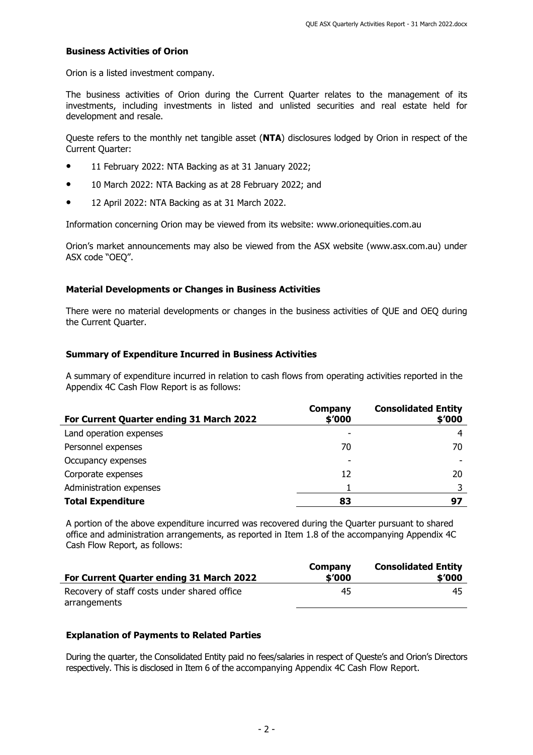### **Business Activities of Orion**

Orion is a listed investment company.

The business activities of Orion during the Current Quarter relates to the management of its investments, including investments in listed and unlisted securities and real estate held for development and resale.

Queste refers to the monthly net tangible asset (**NTA**) disclosures lodged by Orion in respect of the Current Quarter:

- 11 February 2022: NTA Backing as at 31 January 2022;
- 10 March 2022: NTA Backing as at 28 February 2022; and
- 12 April 2022: NTA Backing as at 31 March 2022.

Information concerning Orion may be viewed from its website: www.orionequities.com.au

Orion's market announcements may also be viewed from the ASX website (www.asx.com.au) under ASX code "OEQ".

# **Material Developments or Changes in Business Activities**

There were no material developments or changes in the business activities of QUE and OEQ during the Current Quarter.

# **Summary of Expenditure Incurred in Business Activities**

A summary of expenditure incurred in relation to cash flows from operating activities reported in the Appendix 4C Cash Flow Report is as follows:

| For Current Quarter ending 31 March 2022 | Company<br>\$'000 | <b>Consolidated Entity</b><br>\$′000 |
|------------------------------------------|-------------------|--------------------------------------|
| Land operation expenses                  |                   |                                      |
| Personnel expenses                       | 70                | 70                                   |
| Occupancy expenses                       |                   |                                      |
| Corporate expenses                       | 12                | 20                                   |
| Administration expenses                  |                   |                                      |
| <b>Total Expenditure</b>                 | 83                | 97                                   |

A portion of the above expenditure incurred was recovered during the Quarter pursuant to shared office and administration arrangements, as reported in Item 1.8 of the accompanying Appendix 4C Cash Flow Report, as follows:

|                                             | Company | <b>Consolidated Entity</b> |
|---------------------------------------------|---------|----------------------------|
| For Current Quarter ending 31 March 2022    | \$′000  | \$′000                     |
| Recovery of staff costs under shared office | 45      | 45                         |
| arrangements                                |         |                            |

### **Explanation of Payments to Related Parties**

During the quarter, the Consolidated Entity paid no fees/salaries in respect of Queste's and Orion's Directors respectively. This is disclosed in Item 6 of the accompanying Appendix 4C Cash Flow Report.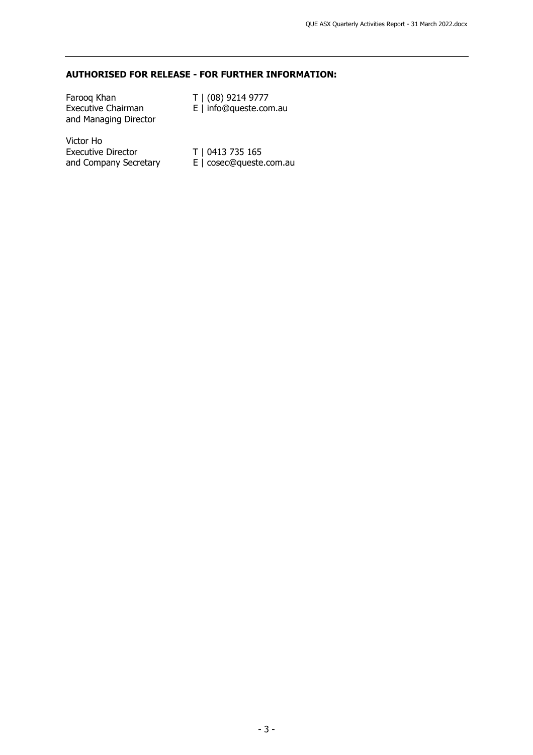# **AUTHORISED FOR RELEASE - FOR FURTHER INFORMATION:**

| Faroog Khan<br><b>Executive Chairman</b><br>and Managing Director | T   (08) 9214 9777<br>E   info@queste.com.au |
|-------------------------------------------------------------------|----------------------------------------------|
| Victor Ho<br><b>Executive Director</b>                            | T   0413 735 165                             |

and Company Secretary E | cosec@queste.com.au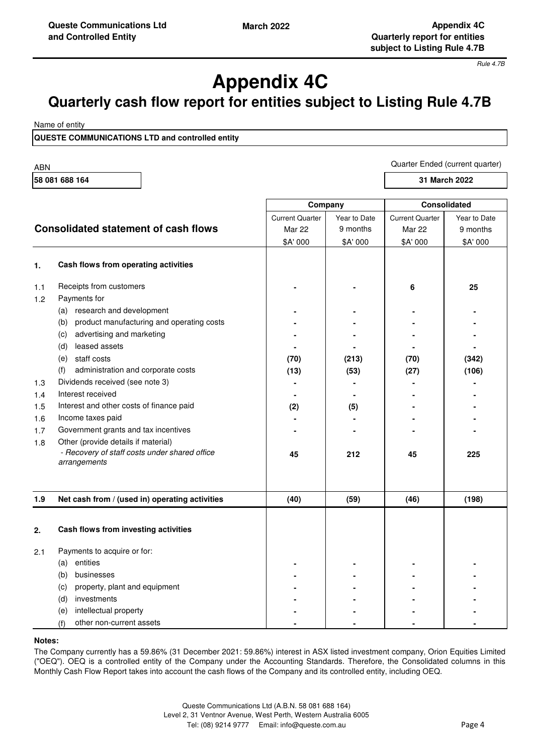Quarter Ended (current quarter)

*Rule 4.7B*

# **Appendix 4C**

# **Quarterly cash flow report for entities subject to Listing Rule 4.7B**

Name of entity

**QUESTE COMMUNICATIONS LTD and controlled entity**

ABN

| יישר           |                                                               |                        |              |                        |               |
|----------------|---------------------------------------------------------------|------------------------|--------------|------------------------|---------------|
| 58 081 688 164 |                                                               |                        |              |                        | 31 March 2022 |
|                |                                                               | Company                |              |                        | Consolidated  |
|                |                                                               | <b>Current Quarter</b> | Year to Date | <b>Current Quarter</b> | Year to Date  |
|                | <b>Consolidated statement of cash flows</b>                   | <b>Mar 22</b>          | 9 months     | Mar 22                 | 9 months      |
|                |                                                               | \$A' 000               | \$A' 000     | \$A' 000               | \$A' 000      |
|                |                                                               |                        |              |                        |               |
| 1.             | Cash flows from operating activities                          |                        |              |                        |               |
| 1.1            | Receipts from customers                                       |                        |              | 6                      | 25            |
| 1.2            | Payments for                                                  |                        |              |                        |               |
|                | (a) research and development                                  |                        |              |                        |               |
|                | product manufacturing and operating costs<br>(b)              |                        |              |                        |               |
|                | advertising and marketing<br>(c)                              |                        |              |                        |               |
|                | leased assets<br>(d)                                          |                        |              |                        |               |
|                | (e) staff costs                                               | (70)                   | (213)        | (70)                   | (342)         |
|                | administration and corporate costs<br>(f)                     | (13)                   | (53)         | (27)                   | (106)         |
| 1.3            | Dividends received (see note 3)                               |                        |              |                        |               |
| 1.4            | Interest received                                             |                        |              |                        |               |
| 1.5            | Interest and other costs of finance paid                      | (2)                    | (5)          |                        |               |
| 1.6            | Income taxes paid                                             |                        |              |                        |               |
| 1.7            | Government grants and tax incentives                          |                        |              |                        |               |
| 1.8            | Other (provide details if material)                           |                        |              |                        |               |
|                | - Recovery of staff costs under shared office<br>arrangements | 45                     | 212          | 45                     | 225           |
|                |                                                               |                        |              |                        |               |
| 1.9            | Net cash from / (used in) operating activities                | (40)                   | (59)         | (46)                   | (198)         |
|                |                                                               |                        |              |                        |               |
| 2.             | Cash flows from investing activities                          |                        |              |                        |               |
| 2.1            | Payments to acquire or for:                                   |                        |              |                        |               |
|                | (a) entities                                                  |                        |              |                        |               |
|                | businesses<br>(b)                                             |                        |              |                        |               |
|                | property, plant and equipment<br>(c)                          |                        |              |                        |               |
|                | investments<br>(d)                                            |                        |              |                        |               |
|                | intellectual property<br>(e)                                  |                        |              |                        |               |
|                | other non-current assets<br>(f)                               |                        |              |                        |               |

### **Notes:**

The Company currently has a 59.86% (31 December 2021: 59.86%) interest in ASX listed investment company, Orion Equities Limited ("OEQ"). OEQ is a controlled entity of the Company under the Accounting Standards. Therefore, the Consolidated columns in this Monthly Cash Flow Report takes into account the cash flows of the Company and its controlled entity, including OEQ.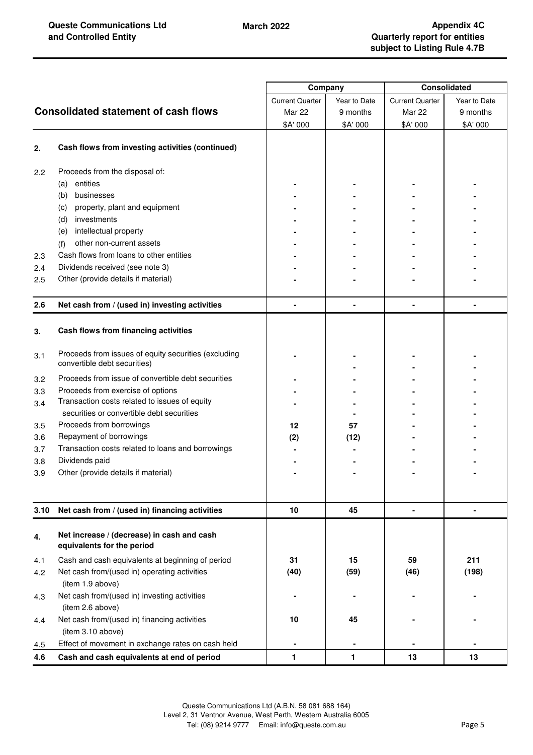|      |                                                                                      | Company                |              | <b>Consolidated</b>    |              |
|------|--------------------------------------------------------------------------------------|------------------------|--------------|------------------------|--------------|
|      |                                                                                      | <b>Current Quarter</b> | Year to Date | <b>Current Quarter</b> | Year to Date |
|      | <b>Consolidated statement of cash flows</b>                                          | <b>Mar 22</b>          | 9 months     | <b>Mar 22</b>          | 9 months     |
|      |                                                                                      | \$A' 000               | \$A' 000     | \$A' 000               | \$A' 000     |
|      |                                                                                      |                        |              |                        |              |
| 2.   | Cash flows from investing activities (continued)                                     |                        |              |                        |              |
| 2.2  | Proceeds from the disposal of:                                                       |                        |              |                        |              |
|      | entities<br>(a)                                                                      |                        |              |                        |              |
|      | (b)<br>businesses                                                                    |                        |              |                        |              |
|      | property, plant and equipment<br>(c)                                                 |                        |              |                        |              |
|      | investments<br>(d)                                                                   |                        |              |                        |              |
|      | intellectual property<br>(e)                                                         |                        |              |                        |              |
|      | other non-current assets<br>(f)                                                      |                        |              |                        |              |
| 2.3  | Cash flows from loans to other entities                                              |                        |              |                        |              |
| 2.4  | Dividends received (see note 3)                                                      |                        |              |                        |              |
| 2.5  | Other (provide details if material)                                                  |                        |              |                        |              |
|      |                                                                                      |                        |              |                        |              |
| 2.6  | Net cash from / (used in) investing activities                                       |                        |              |                        |              |
| 3.   | Cash flows from financing activities                                                 |                        |              |                        |              |
| 3.1  | Proceeds from issues of equity securities (excluding<br>convertible debt securities) |                        |              |                        |              |
| 3.2  | Proceeds from issue of convertible debt securities                                   |                        |              |                        |              |
| 3.3  | Proceeds from exercise of options                                                    |                        |              |                        |              |
| 3.4  | Transaction costs related to issues of equity                                        |                        |              |                        |              |
|      | securities or convertible debt securities                                            |                        |              |                        |              |
| 3.5  | Proceeds from borrowings                                                             | 12                     | 57           |                        |              |
| 3.6  | Repayment of borrowings                                                              | (2)                    | (12)         |                        |              |
| 3.7  | Transaction costs related to loans and borrowings                                    |                        |              |                        |              |
| 3.8  | Dividends paid                                                                       |                        |              |                        |              |
| 3.9  | Other (provide details if material)                                                  |                        |              |                        |              |
|      |                                                                                      |                        |              |                        |              |
| 3.10 | Net cash from / (used in) financing activities                                       | 10                     | 45           | $\blacksquare$         |              |
| 4.   | Net increase / (decrease) in cash and cash<br>equivalents for the period             |                        |              |                        |              |
| 4.1  | Cash and cash equivalents at beginning of period                                     | 31                     | 15           | 59                     | 211          |
| 4.2  | Net cash from/(used in) operating activities                                         | (40)                   | (59)         | (46)                   | (198)        |
|      | (item 1.9 above)                                                                     |                        |              |                        |              |
| 4.3  | Net cash from/(used in) investing activities<br>(item 2.6 above)                     |                        |              |                        |              |
|      |                                                                                      |                        |              |                        |              |
| 4.4  | Net cash from/(used in) financing activities<br>(item 3.10 above)                    | 10                     | 45           |                        |              |
| 4.5  | Effect of movement in exchange rates on cash held                                    |                        |              |                        |              |
| 4.6  | Cash and cash equivalents at end of period                                           | 1                      | $\mathbf{1}$ | 13                     | 13           |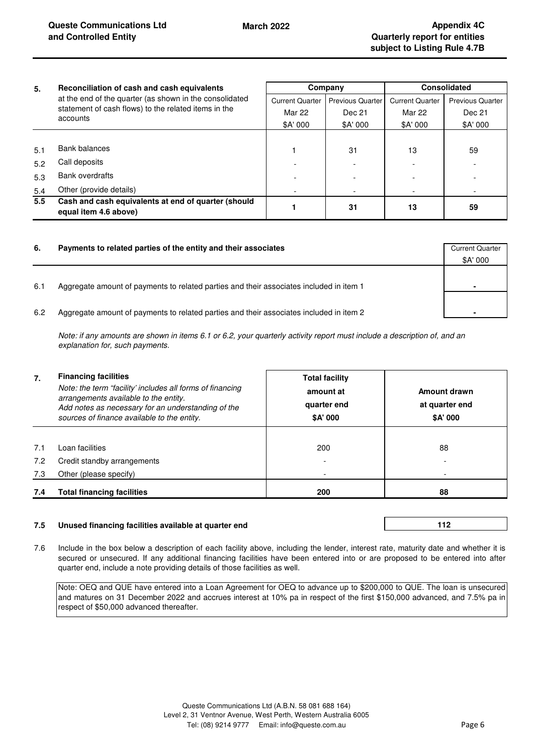| 5.            | Reconciliation of cash and cash equivalents<br>at the end of the quarter (as shown in the consolidated<br>statement of cash flows) to the related items in the | Company                |                         | Consolidated           |                         |
|---------------|----------------------------------------------------------------------------------------------------------------------------------------------------------------|------------------------|-------------------------|------------------------|-------------------------|
|               |                                                                                                                                                                | <b>Current Quarter</b> | <b>Previous Quarter</b> | <b>Current Quarter</b> | <b>Previous Quarter</b> |
|               |                                                                                                                                                                | Mar 22                 | Dec 21                  | Mar 22                 | Dec 21                  |
|               | accounts                                                                                                                                                       | \$A' 000               | \$A' 000                | \$A' 000               | \$A' 000                |
|               |                                                                                                                                                                |                        |                         |                        |                         |
| 5.1           | Bank balances                                                                                                                                                  |                        | 31                      | 13                     | 59                      |
| 5.2           | Call deposits                                                                                                                                                  |                        |                         |                        |                         |
| 5.3           | Bank overdrafts                                                                                                                                                |                        |                         |                        |                         |
| 5.4           | Other (provide details)                                                                                                                                        |                        |                         |                        |                         |
| $5.5^{\circ}$ | Cash and cash equivalents at end of quarter (should<br>equal item 4.6 above)                                                                                   |                        | 31                      | 13                     | 59                      |

| 6.  | Payments to related parties of the entity and their associates                          | <b>Current Quarter</b> |
|-----|-----------------------------------------------------------------------------------------|------------------------|
|     |                                                                                         | \$A' 000               |
| 6.1 | Agaregate amount of payments to related parties and their associates included in item 1 | ۰                      |
| 6.2 | Aggregate amount of payments to related parties and their associates included in item 2 | ۰                      |

*Note: if any amounts are shown in items 6.1 or 6.2, your quarterly activity report must include a description of, and an explanation for, such payments.*

| 7.  | <b>Financing facilities</b><br>Note: the term "facility' includes all forms of financing<br>arrangements available to the entity.<br>Add notes as necessary for an understanding of the<br>sources of finance available to the entity. | <b>Total facility</b><br>amount at<br>quarter end<br>\$A' 000 | Amount drawn<br>at quarter end<br>\$A' 000 |
|-----|----------------------------------------------------------------------------------------------------------------------------------------------------------------------------------------------------------------------------------------|---------------------------------------------------------------|--------------------------------------------|
| 7.1 | Loan facilities                                                                                                                                                                                                                        | 200                                                           | 88                                         |
| 7.2 | Credit standby arrangements                                                                                                                                                                                                            |                                                               |                                            |
| 7.3 | Other (please specify)                                                                                                                                                                                                                 |                                                               |                                            |
| 7.4 | <b>Total financing facilities</b>                                                                                                                                                                                                      | 200                                                           | 88                                         |

### **7.5 Unused financing facilities available at quarter end**

**112** 

7.6 Include in the box below a description of each facility above, including the lender, interest rate, maturity date and whether it is secured or unsecured. If any additional financing facilities have been entered into or are proposed to be entered into after quarter end, include a note providing details of those facilities as well.

Note: OEQ and QUE have entered into a Loan Agreement for OEQ to advance up to \$200,000 to QUE. The loan is unsecured and matures on 31 December 2022 and accrues interest at 10% pa in respect of the first \$150,000 advanced, and 7.5% pa in respect of \$50,000 advanced thereafter.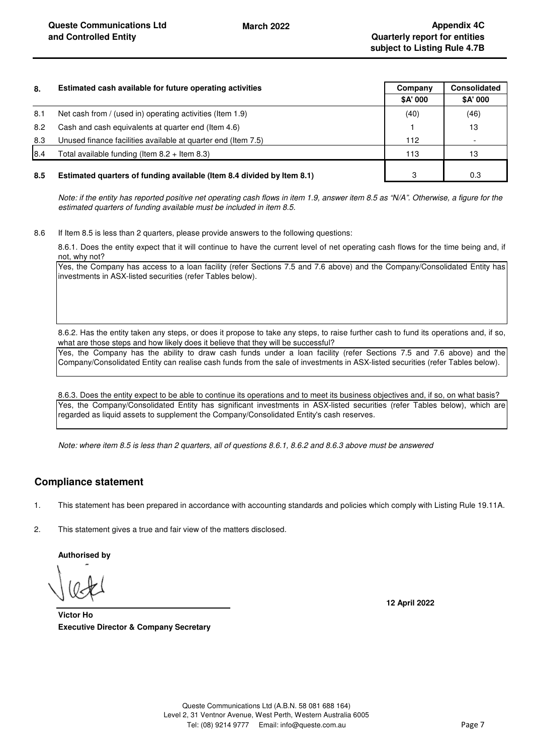| 8.  | Estimated cash available for future operating activities               | Company  | <b>Consolidated</b> |
|-----|------------------------------------------------------------------------|----------|---------------------|
|     |                                                                        | \$A' 000 | \$A' 000            |
| 8.1 | Net cash from / (used in) operating activities (Item 1.9)              | (40)     | (46)                |
| 8.2 | Cash and cash equivalents at quarter end (Item 4.6)                    |          | 13                  |
| 8.3 | Unused finance facilities available at quarter end (Item 7.5)          | 112      |                     |
| 8.4 | Total available funding (Item $8.2 +$ Item $8.3$ )                     | 113      | 13                  |
| 8.5 | Estimated quarters of funding available (Item 8.4 divided by Item 8.1) | з        | 0.3                 |

*Note: if the entity has reported positive net operating cash flows in item 1.9, answer item 8.5 as "N/A". Otherwise, a figure for the estimated quarters of funding available must be included in item 8.5.*

8.6 If Item 8.5 is less than 2 quarters, please provide answers to the following questions:

8.6.1. Does the entity expect that it will continue to have the current level of net operating cash flows for the time being and, if not, why not?

Yes, the Company has access to a loan facility (refer Sections 7.5 and 7.6 above) and the Company/Consolidated Entity has investments in ASX-listed securities (refer Tables below).

8.6.2. Has the entity taken any steps, or does it propose to take any steps, to raise further cash to fund its operations and, if so, what are those steps and how likely does it believe that they will be successful?

Yes, the Company has the ability to draw cash funds under a loan facility (refer Sections 7.5 and 7.6 above) and the Company/Consolidated Entity can realise cash funds from the sale of investments in ASX-listed securities (refer Tables below).

8.6.3. Does the entity expect to be able to continue its operations and to meet its business objectives and, if so, on what basis? Yes, the Company/Consolidated Entity has significant investments in ASX-listed securities (refer Tables below), which are regarded as liquid assets to supplement the Company/Consolidated Entity's cash reserves.

*Note: where item 8.5 is less than 2 quarters, all of questions 8.6.1, 8.6.2 and 8.6.3 above must be answered*

# **Compliance statement**

1. This statement has been prepared in accordance with accounting standards and policies which comply with Listing Rule 19.11A.

2. This statement gives a true and fair view of the matters disclosed.

**Authorised by**

**12 April 2022**

**Executive Director & Company Secretary Victor Ho**